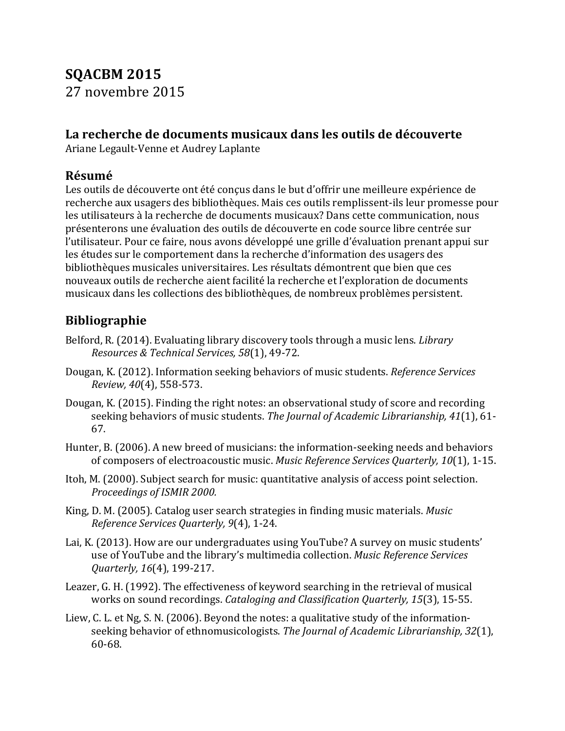## **SQACBM 2015** 27 novembre 2015

## La recherche de documents musicaux dans les outils de découverte

Ariane Legault-Venne et Audrey Laplante

## **Résumé**

Les outils de découverte ont été conçus dans le but d'offrir une meilleure expérience de recherche aux usagers des bibliothèques. Mais ces outils remplissent-ils leur promesse pour les utilisateurs à la recherche de documents musicaux? Dans cette communication, nous présenterons une évaluation des outils de découverte en code source libre centrée sur l'utilisateur. Pour ce faire, nous avons développé une grille d'évaluation prenant appui sur les études sur le comportement dans la recherche d'information des usagers des bibliothèques musicales universitaires. Les résultats démontrent que bien que ces nouveaux outils de recherche aient facilité la recherche et l'exploration de documents musicaux dans les collections des bibliothèques, de nombreux problèmes persistent.

## **Bibliographie**

- Belford, R. (2014). Evaluating library discovery tools through a music lens. *Library Resources & Technical Services, 58*(1), 49-72.
- Dougan, K. (2012). Information seeking behaviors of music students. *Reference Services Review, 40*(4), 558-573.
- Dougan, K. (2015). Finding the right notes: an observational study of score and recording seeking behaviors of music students. The Journal of Academic Librarianship, 41(1), 61-67.
- Hunter, B. (2006). A new breed of musicians: the information-seeking needs and behaviors of composers of electroacoustic music. Music Reference Services Quarterly, 10(1), 1-15.
- Itoh, M. (2000). Subject search for music: quantitative analysis of access point selection. **Proceedings of ISMIR 2000.**
- King, D. M. (2005). Catalog user search strategies in finding music materials. *Music Reference Services Quarterly, 9(4), 1-24.*
- Lai, K. (2013). How are our undergraduates using YouTube? A survey on music students' use of YouTube and the library's multimedia collection. *Music Reference Services Quarterly,* 16(4), 199-217.
- Leazer, G. H. (1992). The effectiveness of keyword searching in the retrieval of musical works on sound recordings. *Cataloging and Classification Ouarterly, 15*(3), 15-55.
- Liew, C. L. et Ng, S. N. (2006). Beyond the notes: a qualitative study of the informationseeking behavior of ethnomusicologists. The Journal of Academic Librarianship, 32(1), 60-68.